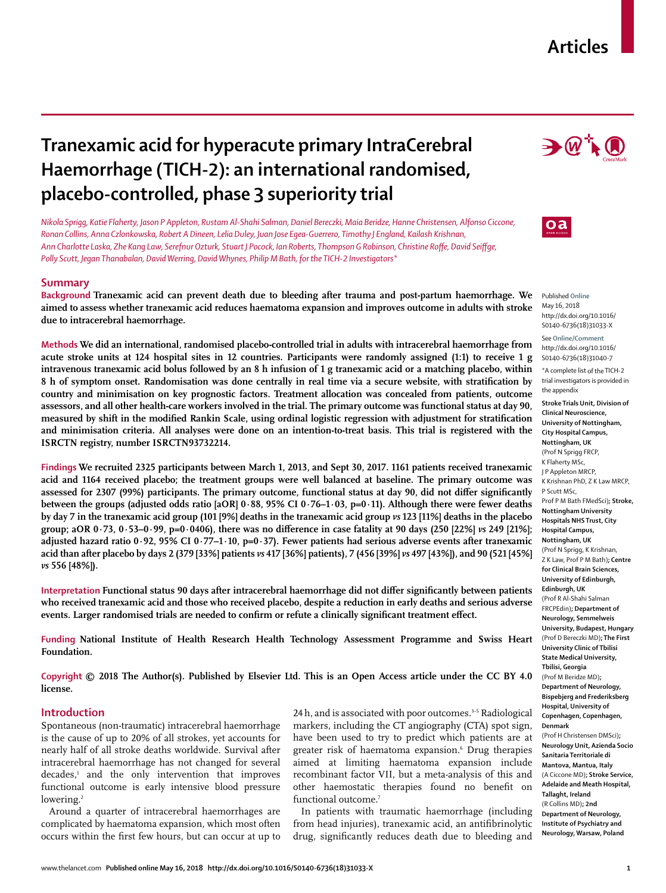# **Articles**

# **Tranexamic acid for hyperacute primary IntraCerebral Haemorrhage (TICH-2): an international randomised, placebo-controlled, phase 3 superiority trial**

*Nikola Sprigg, Katie Flaherty, Jason P Appleton, Rustam Al-Shahi Salman, Daniel Bereczki, Maia Beridze, Hanne Christensen, Alfonso Ciccone, Ronan Collins, Anna Czlonkowska, Robert A Dineen, Lelia Duley, Juan Jose Egea-Guerrero, Timothy J England, Kailash Krishnan, Ann Charlotte Laska, Zhe Kang Law, Serefnur Ozturk, Stuart J Pocock, Ian Roberts, Thompson G Robinson, Christine Roffe, David Seiffge, Polly Scutt, Jegan Thanabalan, David Werring, David Whynes, Philip M Bath, for the TICH-2 Investigators\**

# **Summary**

**Background Tranexamic acid can prevent death due to bleeding after trauma and post-partum haemorrhage. We aimed to assess whether tranexamic acid reduces haematoma expansion and improves outcome in adults with stroke due to intracerebral haemorrhage.**

**Methods We did an international, randomised placebo-controlled trial in adults with intracerebral haemorrhage from acute stroke units at 124 hospital sites in 12 countries. Participants were randomly assigned (1:1) to receive 1 g intravenous tranexamic acid bolus followed by an 8 h infusion of 1 g tranexamic acid or a matching placebo, within 8 h of symptom onset. Randomisation was done centrally in real time via a secure website, with stratification by country and minimisation on key prognostic factors. Treatment allocation was concealed from patients, outcome assessors, and all other health-care workers involved in the trial. The primary outcome was functional status at day 90, measured by shift in the modified Rankin Scale, using ordinal logistic regression with adjustment for stratification and minimisation criteria. All analyses were done on an intention-to-treat basis. This trial is registered with the ISRCTN registry, number ISRCTN93732214.**

**Findings We recruited 2325 participants between March 1, 2013, and Sept 30, 2017. 1161 patients received tranexamic acid and 1164 received placebo; the treatment groups were well balanced at baseline. The primary outcome was assessed for 2307 (99%) participants. The primary outcome, functional status at day 90, did not differ significantly between the groups (adjusted odds ratio [aOR] 0·88, 95% CI 0·76–1·03, p=0·11). Although there were fewer deaths by day 7 in the tranexamic acid group (101 [9%] deaths in the tranexamic acid group** *vs* **123 [11%] deaths in the placebo group; aOR 0·73, 0·53–0·99, p=0·0406), there was no difference in case fatality at 90 days (250 [22%]** *vs* **249 [21%]; adjusted hazard ratio 0·92, 95% CI 0·77–1·10, p=0·37). Fewer patients had serious adverse events after tranexamic acid than after placebo by days 2 (379 [33%] patients** *vs* **417 [36%] patients), 7 (456 [39%]** *vs* **497 [43%]), and 90 (521 [45%]**  *vs* **556 [48%]).**

**Interpretation Functional status 90 days after intracerebral haemorrhage did not differ significantly between patients who received tranexamic acid and those who received placebo, despite a reduction in early deaths and serious adverse events. Larger randomised trials are needed to confirm or refute a clinically significant treatment effect.**

**Funding National Institute of Health Research Health Technology Assessment Programme and Swiss Heart Foundation.**

**Copyright © 2018 The Author(s). Published by Elsevier Ltd. This is an Open Access article under the CC BY 4.0 license.**

# **Introduction**

Spontaneous (non-traumatic) intracerebral haemorrhage is the cause of up to 20% of all strokes, yet accounts for nearly half of all stroke deaths worldwide. Survival after intracerebral haemorrhage has not changed for several decades,<sup>1</sup> and the only intervention that improves functional outcome is early intensive blood pressure lowering.<sup>2</sup>

Around a quarter of intracerebral haemorrhages are complicated by haematoma expansion, which most often occurs within the first few hours, but can occur at up to 24 h, and is associated with poor outcomes.<sup>3-5</sup> Radiological markers, including the CT angiography (CTA) spot sign, have been used to try to predict which patients are at greater risk of haematoma expansion.6 Drug therapies aimed at limiting haematoma expansion include recombinant factor VII, but a meta-analysis of this and other haemostatic therapies found no benefit on functional outcome.<sup>7</sup>

In patients with traumatic haemorrhage (including from head injuries), tranexamic acid, an antifibrinolytic drug, significantly reduces death due to bleeding and





Published **Online** May 16, 2018 http://dx.doi.org/10.1016/ S0140-6736(18)31033-X

See **Online/Comment** http://dx.doi.org/10.1016/ S0140-6736(18)31040-7

\*A complete list of the TICH-2 trial investigators is provided in the appendix

**Stroke Trials Unit, Division of** 

**Clinical Neuroscience, University of Nottingham, City Hospital Campus, Nottingham, UK** (Prof N Sprigg FRCP, K Flaherty MSc, J P Appleton MRCP, K Krishnan PhD, Z K Law MRCP, P Scutt MSc, Prof P M Bath FMedSci)**; Stroke, Nottingham University Hospitals NHS Trust, City Hospital Campus, Nottingham, UK** (Prof N Sprigg, K Krishnan, Z K Law, Prof P M Bath)**; Centre for Clinical Brain Sciences, University of Edinburgh, Edinburgh, UK**  (Prof R Al-Shahi Salman FRCPEdin)**; Department of Neurology, Semmelweis University, Budapest, Hungary**  (Prof D Bereczki MD)**; The First University Clinic of Tbilisi State Medical University, Tbilisi, Georgia**  (Prof M Beridze MD)**; Department of Neurology, Bispebjerg and Frederiksberg Hospital, University of Copenhagen, Copenhagen, Denmark**  (Prof H Christensen DMSci)**; Neurology Unit, Azienda Socio Sanitaria Territoriale di Mantova, Mantua, Italy**  (A Ciccone MD)**; Stroke Service, Adelaide and Meath Hospital, Tallaght, Ireland**  (R Collins MD)**; 2nd Department of Neurology, Institute of Psychiatry and Neurology, Warsaw, Poland**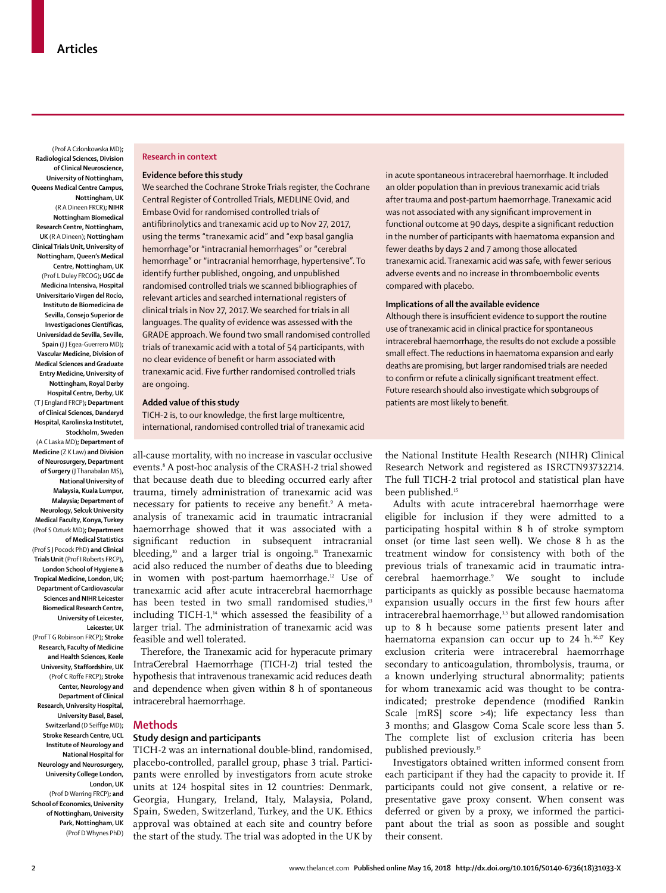(Prof A Czlonkowska MD)**; Radiological Sciences, Division of Clinical Neuroscience, University of Nottingham, Queens Medical Centre Campus, Nottingham, UK**  (R A Dineen FRCR)**; NIHR Nottingham Biomedical Research Centre, Nottingham, UK** (R A Dineen)**; Nottingham Clinical Trials Unit, University of Nottingham, Queen's Medical Centre, Nottingham, UK**  (Prof L Duley FRCOG)**; UGC de Medicina Intensiva, Hospital Universitario Virgen del Rocío, Instituto de Biomedicina de Sevilla, Consejo Superior de Investigaciones Científicas, Universidad de Sevilla, Seville, Spain** (J J Egea-Guerrero MD)**; Vascular Medicine, Division of Medical Sciences and Graduate Entry Medicine, University of Nottingham, Royal Derby Hospital Centre, Derby, UK**  (T J England FRCP)**; Department of Clinical Sciences, Danderyd Hospital, Karolinska Institutet, Stockholm, Sweden** (A C Laska MD)**; Department of Medicine** (Z K Law) **and Division of Neurosurgery, Department of Surgery** (J Thanabalan MS)**, National University of Malaysia, Kuala Lumpur, Malaysia; Department of Neurology, Selcuk University Medical Faculty, Konya, Turkey**  (Prof S Ozturk MD)**; Department of Medical Statistics**  (Prof S J Pocock PhD) **and Clinical Trials Unit** (Prof I Roberts FRCP)**, London School of Hygiene & Tropical Medicine, London, UK; Department of Cardiovascular Sciences and NIHR Leicester Biomedical Research Centre, University of Leicester, Leicester, UK** (Prof T G Robinson FRCP)**; Stroke Research, Faculty of Medicine** 

**and Health Sciences, Keele University, Staffordshire, UK**  (Prof C Roffe FRCP)**; Stroke Center, Neurology and Department of Clinical Research, University Hospital, University Basel, Basel, Switzerland** (D Seiffge MD)**; Stroke Research Centre, UCL Institute of Neurology and National Hospital for Neurology and Neurosurgery, University College London, London, UK**  (Prof D Werring FRCP)**; and School of Economics, University of Nottingham, University Park, Nottingham, UK** 

# (Prof D Whynes PhD)

#### **Research in context**

#### **Evidence before this study**

We searched the Cochrane Stroke Trials register, the Cochrane Central Register of Controlled Trials, MEDLINE Ovid, and Embase Ovid for randomised controlled trials of antifibrinolytics and tranexamic acid up to Nov 27, 2017, using the terms "tranexamic acid" and "exp basal ganglia hemorrhage"or "intracranial hemorrhages" or "cerebral hemorrhage" or "intracranial hemorrhage, hypertensive". To identify further published, ongoing, and unpublished randomised controlled trials we scanned bibliographies of relevant articles and searched international registers of clinical trials in Nov 27, 2017. We searched for trials in all languages. The quality of evidence was assessed with the GRADE approach. We found two small randomised controlled trials of tranexamic acid with a total of 54 participants, with no clear evidence of benefit or harm associated with tranexamic acid. Five further randomised controlled trials are ongoing.

### **Added value of this study**

TICH-2 is, to our knowledge, the first large multicentre, international, randomised controlled trial of tranexamic acid

all-cause mortality, with no increase in vascular occlusive events.8 A post-hoc analysis of the CRASH-2 trial showed that because death due to bleeding occurred early after trauma, timely administration of tranexamic acid was necessary for patients to receive any benefit.9 A metaanalysis of tranexamic acid in traumatic intracranial haemorrhage showed that it was associated with a significant reduction in subsequent intracranial bleeding, $10$  and a larger trial is ongoing.<sup>11</sup> Tranexamic acid also reduced the number of deaths due to bleeding in women with post-partum haemorrhage.<sup>12</sup> Use of tranexamic acid after acute intracerebral haemorrhage has been tested in two small randomised studies,<sup>13</sup> including TICH-1,<sup>14</sup> which assessed the feasibility of a larger trial. The administration of tranexamic acid was feasible and well tolerated.

Therefore, the Tranexamic acid for hyperacute primary IntraCerebral Haemorrhage (TICH-2) trial tested the hypothesis that intravenous tranexamic acid reduces death and dependence when given within 8 h of spontaneous intracerebral haemorrhage.

### **Methods**

# **Study design and participants**

TICH-2 was an international double-blind, randomised, placebo-controlled, parallel group, phase 3 trial. Participants were enrolled by investigators from acute stroke units at 124 hospital sites in 12 countries: Denmark, Georgia, Hungary, Ireland, Italy, Malaysia, Poland, Spain, Sweden, Switzerland, Turkey, and the UK. Ethics approval was obtained at each site and country before the start of the study. The trial was adopted in the UK by in acute spontaneous intracerebral haemorrhage. It included an older population than in previous tranexamic acid trials after trauma and post-partum haemorrhage. Tranexamic acid was not associated with any significant improvement in functional outcome at 90 days, despite a significant reduction in the number of participants with haematoma expansion and fewer deaths by days 2 and 7 among those allocated tranexamic acid. Tranexamic acid was safe, with fewer serious adverse events and no increase in thromboembolic events compared with placebo.

# **Implications of all the available evidence**

Although there is insufficient evidence to support the routine use of tranexamic acid in clinical practice for spontaneous intracerebral haemorrhage, the results do not exclude a possible small effect. The reductions in haematoma expansion and early deaths are promising, but larger randomised trials are needed to confirm or refute a clinically significant treatment effect. Future research should also investigate which subgroups of patients are most likely to benefit.

the National Institute Health Research (NIHR) Clinical Research Network and registered as ISRCTN93732214. The full TICH-2 trial protocol and statistical plan have been published.<sup>15</sup>

Adults with acute intracerebral haemorrhage were eligible for inclusion if they were admitted to a participating hospital within 8 h of stroke symptom onset (or time last seen well). We chose 8 h as the treatment window for consistency with both of the previous trials of tranexamic acid in traumatic intracerebral haemorrhage.9 We sought to include participants as quickly as possible because haematoma expansion usually occurs in the first few hours after intracerebral haemorrhage,<sup>3,5</sup> but allowed randomisation up to 8 h because some patients present later and haematoma expansion can occur up to 24 h.<sup>16,17</sup> Key exclusion criteria were intracerebral haemorrhage secondary to anticoagulation, thrombolysis, trauma, or a known underlying structural abnormality; patients for whom tranexamic acid was thought to be contraindicated; prestroke dependence (modified Rankin Scale [mRS] score >4); life expectancy less than 3 months; and Glasgow Coma Scale score less than 5. The complete list of exclusion criteria has been published previously.15

Investigators obtained written informed consent from each participant if they had the capacity to provide it. If participants could not give consent, a relative or representative gave proxy consent. When consent was deferred or given by a proxy, we informed the participant about the trial as soon as possible and sought their consent.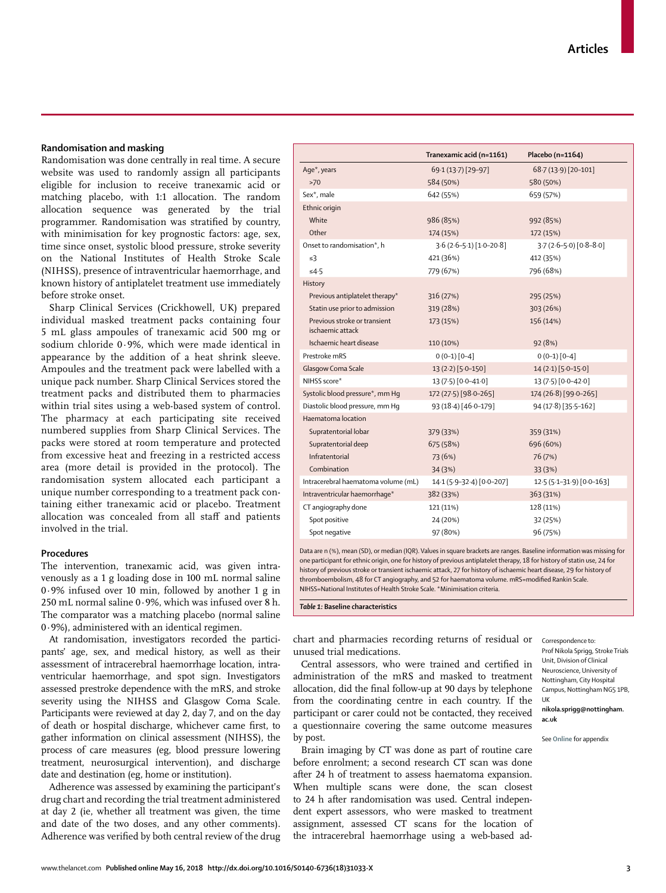# **Randomisation and masking**

Randomisation was done centrally in real time. A secure website was used to randomly assign all participants eligible for inclusion to receive tranexamic acid or matching placebo, with 1:1 allocation. The random allocation sequence was generated by the trial programmer. Randomisation was stratified by country, with minimisation for key prognostic factors: age, sex, time since onset, systolic blood pressure, stroke severity on the National Institutes of Health Stroke Scale (NIHSS), presence of intraventricular haemorrhage, and known history of antiplatelet treatment use immediately before stroke onset.

Sharp Clinical Services (Crickhowell, UK) prepared individual masked treatment packs containing four 5 mL glass ampoules of tranexamic acid 500 mg or sodium chloride 0·9%, which were made identical in appearance by the addition of a heat shrink sleeve. Ampoules and the treatment pack were labelled with a unique pack number. Sharp Clinical Services stored the treatment packs and distributed them to pharmacies within trial sites using a web-based system of control. The pharmacy at each participating site received numbered supplies from Sharp Clinical Services. The packs were stored at room temperature and protected from excessive heat and freezing in a restricted access area (more detail is provided in the protocol). The randomisation system allocated each participant a unique number corresponding to a treatment pack containing either tranexamic acid or placebo. Treatment allocation was concealed from all staff and patients involved in the trial.

# **Procedures**

The intervention, tranexamic acid, was given intravenously as a 1 g loading dose in 100 mL normal saline 0·9% infused over 10 min, followed by another 1 g in 250 mL normal saline 0·9%, which was infused over 8 h. The comparator was a matching placebo (normal saline 0·9%), administered with an identical regimen.

At randomisation, investigators recorded the participants' age, sex, and medical history, as well as their assessment of intracerebral haemorrhage location, intraventricular haemorrhage, and spot sign. Investigators assessed prestroke dependence with the mRS, and stroke severity using the NIHSS and Glasgow Coma Scale. Participants were reviewed at day 2, day 7, and on the day of death or hospital discharge, whichever came first, to gather information on clinical assessment (NIHSS), the process of care measures (eg, blood pressure lowering treatment, neurosurgical intervention), and discharge date and destination (eg, home or institution).

Adherence was assessed by examining the participant's drug chart and recording the trial treatment administered at day 2 (ie, whether all treatment was given, the time and date of the two doses, and any other comments). Adherence was verified by both central review of the drug

|                                                  | Tranexamic acid (n=1161)                     | Placebo (n=1164)           |
|--------------------------------------------------|----------------------------------------------|----------------------------|
| Age*, years                                      | 69.1 (13.7) [29-97]<br>68.7 (13.9) [20-101]  |                            |
| >70                                              | 584 (50%)                                    | 580 (50%)                  |
| Sex*, male                                       | 642 (55%)<br>659 (57%)                       |                            |
| Ethnic origin                                    |                                              |                            |
| White                                            | 986 (85%)                                    | 992 (85%)                  |
| Other                                            | 174 (15%)                                    | 172 (15%)                  |
| Onset to randomisation*, h                       | $3.6(2.6 - 5.1)[1.0 - 20.8]$                 | $3.7(2.6 - 5.0)$ [0.8-8.0] |
| $\leq$ 3                                         | 421 (36%)                                    | 412 (35%)                  |
| $\leq 4.5$                                       | 779 (67%)                                    | 796 (68%)                  |
| History                                          |                                              |                            |
| Previous antiplatelet therapy*                   | 316 (27%)                                    | 295 (25%)                  |
| Statin use prior to admission                    | 319 (28%)                                    | 303 (26%)                  |
| Previous stroke or transient<br>ischaemic attack | 173 (15%)                                    | 156 (14%)                  |
| Ischaemic heart disease                          | 110 (10%)                                    | 92 (8%)                    |
| Prestroke mRS                                    | $0(0-1)$ $[0-4]$                             | $0(0-1)[0-4]$              |
| Glasgow Coma Scale                               | 13 (2.2) [5.0-150]                           | 14 (2.1) [5.0-15.0]        |
| NIHSS score*                                     | 13 (7.5) [0.0-41.0]                          | 13 (7.5) [0.0-42.0]        |
| Systolic blood pressure*, mm Hq                  | 172 (27.5) [98.0-265]                        | 174 (26.8) [99.0-265]      |
| Diastolic blood pressure, mm Hq                  | 93 (18-4) [46-0-179]<br>94 (17.8) [35.5-162] |                            |
| Haematoma location                               |                                              |                            |
| Supratentorial lobar                             | 379 (33%)                                    | 359 (31%)                  |
| Supratentorial deep                              | 675 (58%)                                    | 696 (60%)                  |
| Infratentorial                                   | 73 (6%)                                      | 76 (7%)                    |
| Combination                                      | 34 (3%)                                      | 33 (3%)                    |
| Intracerebral haematoma volume (mL)              | 14.1 (5.9-32.4) [0.0-207]                    | 12.5 (5.1-31.9) [0.0-163]  |
| Intraventricular haemorrhage*                    | 382 (33%)                                    | 363 (31%)                  |
| CT angiography done                              | 121 (11%)                                    | 128 (11%)                  |
| Spot positive                                    | 24 (20%)                                     | 32 (25%)                   |
| Spot negative                                    | 97 (80%)                                     | 96 (75%)                   |

Data are n (%), mean (SD), or median (IQR). Values in square brackets are ranges. Baseline information was missing for one participant for ethnic origin, one for history of previous antiplatelet therapy, 18 for history of statin use, 24 for history of previous stroke or transient ischaemic attack, 27 for history of ischaemic heart disease, 29 for history of thromboembolism, 48 for CT angiography, and 52 for haematoma volume. mRS=modified Rankin Scale. NIHSS=National Institutes of Health Stroke Scale. \*Minimisation criteria.

*Table 1:* **Baseline characteristics**

chart and pharmacies recording returns of residual or correspondence to: unused trial medications.

Central assessors, who were trained and certified in administration of the mRS and masked to treatment allocation, did the final follow-up at 90 days by telephone from the coordinating centre in each country. If the participant or carer could not be contacted, they received a questionnaire covering the same outcome measures by post.

Brain imaging by CT was done as part of routine care before enrolment; a second research CT scan was done after 24 h of treatment to assess haematoma expansion. When multiple scans were done, the scan closest to 24 h after randomisation was used. Central independent expert assessors, who were masked to treatment assignment, assessed CT scans for the location of the intracerebral haemorrhage using a web-based ad-

Prof Nikola Sprigg, Stroke Trials Unit, Division of Clinical Neuroscience, University of Nottingham, City Hospital Campus, Nottingham NG5 1PB, UK **nikola.sprigg@nottingham. ac.uk**

See **Online** for appendix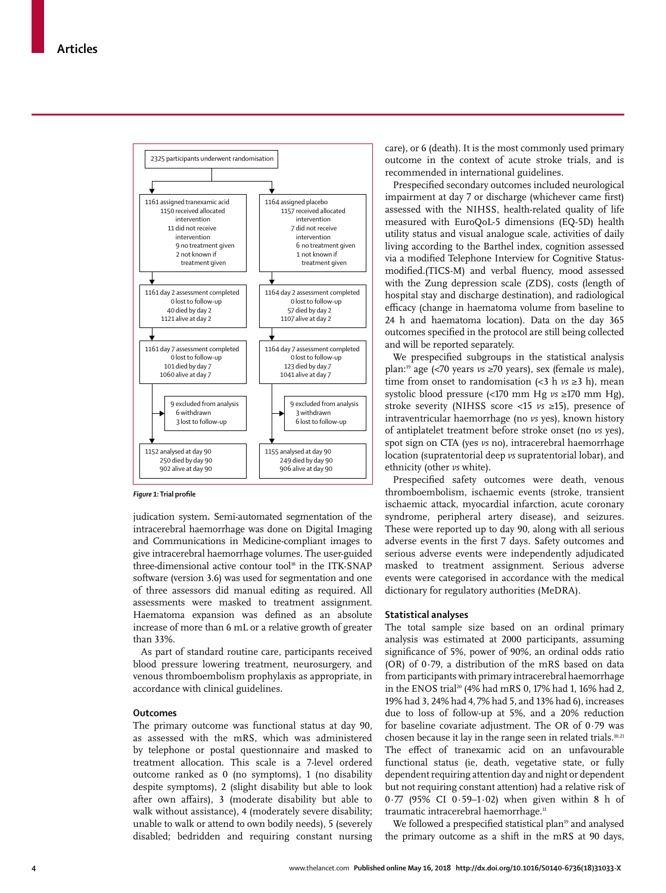

#### *Figure 1:* **Trial profile**

judication system**.** Semi-automated segmentation of the intracerebral haemorrhage was done on Digital Imaging and Communications in Medicine-compliant images to give intracerebral haemorrhage volumes. The user-guided three-dimensional active contour tool<sup>18</sup> in the ITK-SNAP software (version 3.6) was used for segmentation and one of three assessors did manual editing as required. All assessments were masked to treatment assignment. Haematoma expansion was defined as an absolute increase of more than 6 mL or a relative growth of greater than 33%.

As part of standard routine care, participants received blood pressure lowering treatment, neurosurgery, and venous thromboembolism prophylaxis as appropriate, in accordance with clinical guidelines.

### **Outcomes**

The primary outcome was functional status at day 90, as assessed with the mRS, which was administered by telephone or postal questionnaire and masked to treatment allocation. This scale is a 7-level ordered outcome ranked as 0 (no symptoms), 1 (no disability despite symptoms), 2 (slight disability but able to look after own affairs), 3 (moderate disability but able to walk without assistance), 4 (moderately severe disability; unable to walk or attend to own bodily needs), 5 (severely disabled; bedridden and requiring constant nursing care), or 6 (death). It is the most commonly used primary outcome in the context of acute stroke trials, and is recommended in international guidelines.

Prespecified secondary outcomes included neurological impairment at day 7 or discharge (whichever came first) assessed with the NIHSS, health-related quality of life measured with EuroQoL-5 dimensions (EQ-5D) health utility status and visual analogue scale, activities of daily living according to the Barthel index, cognition assessed via a modified Telephone Interview for Cognitive Statusmodified.(TICS-M) and verbal fluency, mood assessed with the Zung depression scale (ZDS), costs (length of hospital stay and discharge destination), and radiological efficacy (change in haematoma volume from baseline to 24 h and haematoma location). Data on the day 365 outcomes specified in the protocol are still being collected and will be reported separately.

We prespecified subgroups in the statistical analysis plan:19 age (<70 years *vs* ≥70 years), sex (female *vs* male), time from onset to randomisation (<3 h *vs* ≥3 h), mean systolic blood pressure (<170 mm Hg *vs* ≥170 mm Hg), stroke severity (NIHSS score <15 *vs* ≥15), presence of intraventricular haemorrhage (no *vs* yes), known history of antiplatelet treatment before stroke onset (no *vs* yes), spot sign on CTA (yes *vs* no), intracerebral haemorrhage location (supratentorial deep *vs* supratentorial lobar), and ethnicity (other *vs* white).

Prespecified safety outcomes were death, venous thromboembolism, ischaemic events (stroke, transient ischaemic attack, myocardial infarction, acute coronary syndrome, peripheral artery disease), and seizures. These were reported up to day 90, along with all serious adverse events in the first 7 days. Safety outcomes and serious adverse events were independently adjudicated masked to treatment assignment. Serious adverse events were categorised in accordance with the medical dictionary for regulatory authorities (MeDRA).

### **Statistical analyses**

The total sample size based on an ordinal primary analysis was estimated at 2000 participants, assuming significance of 5%, power of 90%, an ordinal odds ratio (OR) of 0·79, a distribution of the mRS based on data from participants with primary intracerebral haemorrhage in the ENOS trial<sup>20</sup> (4% had mRS 0, 17% had 1, 16% had 2, 19% had 3, 24% had 4, 7% had 5, and 13% had 6), increases due to loss of follow-up at 5%, and a 20% reduction for baseline covariate adjustment. The OR of 0·79 was chosen because it lay in the range seen in related trials.<sup>10,21</sup> The effect of tranexamic acid on an unfavourable functional status (ie, death, vegetative state, or fully dependent requiring attention day and night or dependent but not requiring constant attention) had a relative risk of 0·77 (95% CI 0·59–1·02) when given within 8 h of traumatic intracerebral haemorrhage.<sup>11</sup>

We followed a prespecified statistical plan<sup>19</sup> and analysed the primary outcome as a shift in the mRS at 90 days,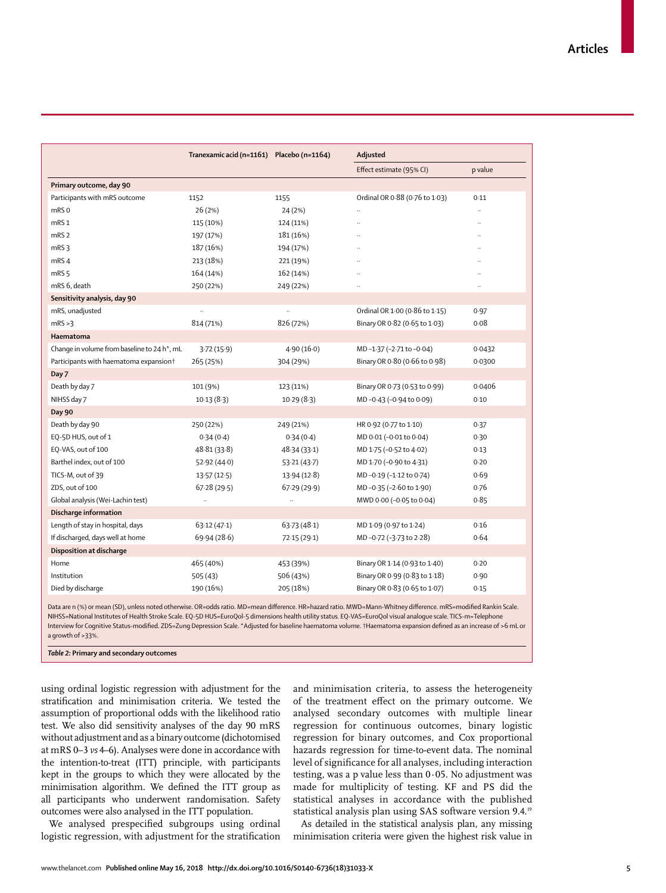|                                             | Tranexamic acid (n=1161) | Placebo (n=1164) | Adjusted                       |         |
|---------------------------------------------|--------------------------|------------------|--------------------------------|---------|
|                                             |                          |                  | Effect estimate (95% CI)       | p value |
| Primary outcome, day 90                     |                          |                  |                                |         |
| Participants with mRS outcome               | 1152                     | 1155             | Ordinal OR 0.88 (0.76 to 1.03) | 0.11    |
| mRS <sub>0</sub>                            | 26(2%)                   | 24 (2%)          |                                |         |
| mRS <sub>1</sub>                            | 115 (10%)                | 124 (11%)        |                                |         |
| mRS <sub>2</sub>                            | 197 (17%)                | 181 (16%)        |                                |         |
| mRS <sub>3</sub>                            | 187 (16%)                | 194 (17%)        |                                |         |
| mRS <sub>4</sub>                            | 213 (18%)                | 221 (19%)        |                                |         |
| mRS <sub>5</sub>                            | 164 (14%)                | 162 (14%)        |                                |         |
| mRS 6, death                                | 250 (22%)                | 249 (22%)        |                                |         |
| Sensitivity analysis, day 90                |                          |                  |                                |         |
| mRS, unadjusted                             |                          |                  | Ordinal OR 1.00 (0.86 to 1.15) | 0.97    |
| mRS > 3                                     | 814 (71%)                | 826 (72%)        | Binary OR 0.82 (0.65 to 1.03)  | 0.08    |
| Haematoma                                   |                          |                  |                                |         |
| Change in volume from baseline to 24 h*, mL | 3.72(15.9)               | 4.90(16.0)       | MD-1.37 (-2.71 to -0.04)       | 0.0432  |
| Participants with haematoma expansion†      | 265 (25%)                | 304 (29%)        | Binary OR 0.80 (0.66 to 0.98)  | 0.0300  |
| Day 7                                       |                          |                  |                                |         |
| Death by day 7                              | 101 (9%)                 | 123 (11%)        | Binary OR 0.73 (0.53 to 0.99)  | 0.0406  |
| NIHSS day 7                                 | 10.13(8.3)               | 10.29(8.3)       | MD-0-43 (-0-94 to 0-09)        | 0.10    |
| Day 90                                      |                          |                  |                                |         |
| Death by day 90                             | 250 (22%)                | 249 (21%)        | HR 0.92 (0.77 to 1.10)         | 0.37    |
| EQ-5D HUS, out of 1                         | 0.34(0.4)                | 0.34(0.4)        | MD 0.01 (-0.01 to 0.04)        | 0.30    |
| EQ-VAS, out of 100                          | 48.81(33.8)              | 48.34(33.1)      | MD 1.75 (-0.52 to 4.02)        | 0.13    |
| Barthel index, out of 100                   | 52.92(44.0)              | 53.21(43.7)      | MD 1.70 (-0.90 to 4.31)        | 0.20    |
| TICS-M, out of 39                           | 13.57(12.5)              | 13.94(12.8)      | MD-0.19 (-1.12 to 0.74)        | 0.69    |
| ZDS, out of 100                             | 67.28(29.5)              | 67.29(29.9)      | MD-0.35 (-2.60 to 1.90)        | 0.76    |
| Global analysis (Wei-Lachin test)           |                          | $\ddotsc$        | MWD 0.00 (-0.05 to 0.04)       | 0.85    |
| Discharge information                       |                          |                  |                                |         |
| Length of stay in hospital, days            | 63.12(47.1)              | 63.73(48.1)      | MD 1.09 (0.97 to 1.24)         | 0.16    |
| If discharged, days well at home            | 69.94(28.6)              | 72-15 (29-1)     | MD-0-72 (-3-73 to 2-28)        | 0.64    |
| Disposition at discharge                    |                          |                  |                                |         |
| Home                                        | 465 (40%)                | 453 (39%)        | Binary OR 1.14 (0.93 to 1.40)  | 0.20    |
| Institution                                 | 505(43)                  | 506 (43%)        | Binary OR 0.99 (0.83 to 1.18)  | 0.90    |
| Died by discharge                           | 190 (16%)                | 205 (18%)        | Binary OR 0.83 (0.65 to 1.07)  | 0.15    |
|                                             |                          |                  |                                |         |

Data are n (%) or mean (SD), unless noted otherwise. OR=odds ratio. MD=mean difference. HR=hazard ratio. MWD=Mann-Whitney difference. mRS=modified Rankin Scale. NIHSS=National Institutes of Health Stroke Scale. EQ-5D HUS=EuroQol-5 dimensions health utility status. EQ-VAS=EuroQol visual analogue scale. TICS-m=Telephone Interview for Cognitive Status-modified. ZDS=Zung Depression Scale. \*Adjusted for baseline haematoma volume. †Haematoma expansion defined as an increase of >6 mL or a growth of >33%.

*Table 2:* **Primary and secondary outcomes**

using ordinal logistic regression with adjustment for the stratification and minimisation criteria. We tested the assumption of proportional odds with the likelihood ratio test. We also did sensitivity analyses of the day 90 mRS without adjustment and as a binary outcome (dichotomised at mRS 0–3 *vs* 4–6). Analyses were done in accordance with the intention-to-treat (ITT) principle, with participants kept in the groups to which they were allocated by the minimisation algorithm. We defined the ITT group as all participants who underwent randomisation. Safety outcomes were also analysed in the ITT population.

We analysed prespecified subgroups using ordinal logistic regression, with adjustment for the stratification and minimisation criteria, to assess the heterogeneity of the treatment effect on the primary outcome. We analysed secondary outcomes with multiple linear regression for continuous outcomes, binary logistic regression for binary outcomes, and Cox proportional hazards regression for time-to-event data. The nominal level of significance for all analyses, including interaction testing, was a p value less than  $0.05$ . No adjustment was made for multiplicity of testing. KF and PS did the statistical analyses in accordance with the published statistical analysis plan using SAS software version 9.4.19

As detailed in the statistical analysis plan, any missing minimisation criteria were given the highest risk value in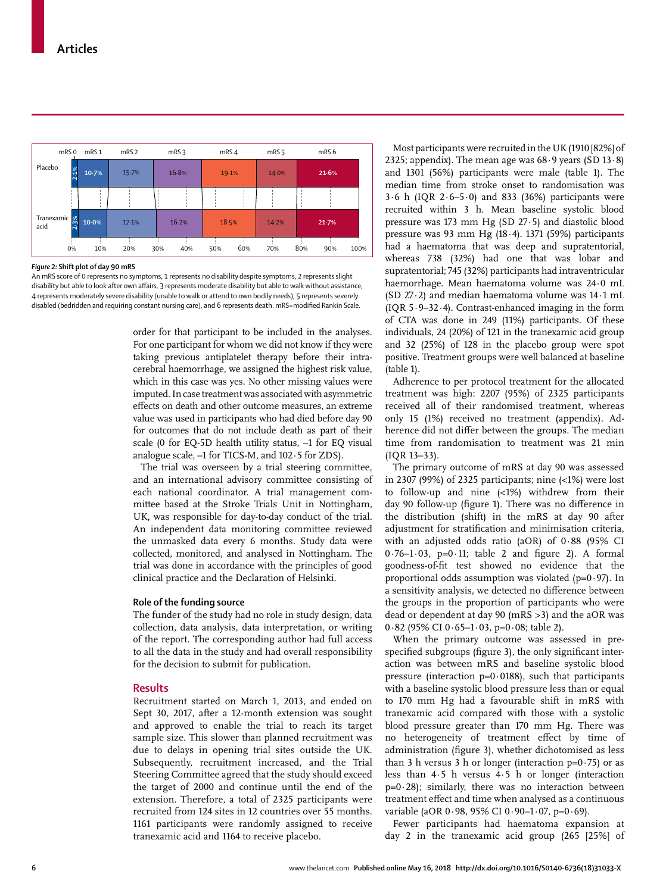

*Figure 2:* **Shift plot of day 90 mRS**

An mRS score of 0 represents no symptoms, 1 represents no disability despite symptoms, 2 represents slight disability but able to look after own affairs, 3 represents moderate disability but able to walk without assistance, 4 represents moderately severe disability (unable to walk or attend to own bodily needs), 5 represents severely disabled (bedridden and requiring constant nursing care), and 6 represents death. mRS=modified Rankin Scale.

> order for that participant to be included in the analyses. For one participant for whom we did not know if they were taking previous antiplatelet therapy before their intracerebral haemorrhage, we assigned the highest risk value, which in this case was yes. No other missing values were imputed. In case treatment was associated with asymmetric effects on death and other outcome measures, an extreme value was used in participants who had died before day 90 for outcomes that do not include death as part of their scale (0 for EQ-5D health utility status, –1 for EQ visual analogue scale, –1 for TICS-M, and 102·5 for ZDS).

> The trial was overseen by a trial steering committee, and an international advisory committee consisting of each national coordinator. A trial management committee based at the Stroke Trials Unit in Nottingham, UK**,** was responsible for day-to-day conduct of the trial. An independent data monitoring committee reviewed the unmasked data every 6 months. Study data were collected, monitored, and analysed in Nottingham. The trial was done in accordance with the principles of good clinical practice and the Declaration of Helsinki.

### **Role of the funding source**

The funder of the study had no role in study design, data collection, data analysis, data interpretation, or writing of the report. The corresponding author had full access to all the data in the study and had overall responsibility for the decision to submit for publication.

# **Results**

Recruitment started on March 1, 2013, and ended on Sept 30, 2017, after a 12-month extension was sought and approved to enable the trial to reach its target sample size. This slower than planned recruitment was due to delays in opening trial sites outside the UK. Subsequently, recruitment increased, and the Trial Steering Committee agreed that the study should exceed the target of 2000 and continue until the end of the extension. Therefore, a total of 2325 participants were recruited from 124 sites in 12 countries over 55 months. 1161 participants were randomly assigned to receive tranexamic acid and 1164 to receive placebo.

Most participants were recruited in the UK (1910 [82%] of 2325; appendix). The mean age was  $68.9$  years  $(SD 13.8)$ and 1301 (56%) participants were male (table 1). The median time from stroke onset to randomisation was  $3.6$  h (IQR  $2.6-5.0$ ) and 833 (36%) participants were recruited within 3 h. Mean baseline systolic blood pressure was 173 mm Hg (SD 27·5) and diastolic blood pressure was 93 mm Hg (18·4). 1371 (59%) participants had a haematoma that was deep and supratentorial, whereas 738 (32%) had one that was lobar and supratentorial; 745 (32%) participants had intraventricular haemorrhage. Mean haematoma volume was 24·0 mL (SD 27·2) and median haematoma volume was 14·1 mL (IQR 5·9–32·4). Contrast-enhanced imaging in the form of CTA was done in 249 (11%) participants. Of these individuals, 24 (20%) of 121 in the tranexamic acid group and 32 (25%) of 128 in the placebo group were spot positive. Treatment groups were well balanced at baseline (table 1).

Adherence to per protocol treatment for the allocated treatment was high: 2207 (95%) of 2325 participants received all of their randomised treatment, whereas only 15 (1%) received no treatment (appendix). Adherence did not differ between the groups. The median time from randomisation to treatment was 21 min (IQR 13–33).

The primary outcome of mRS at day 90 was assessed in 2307 (99%) of 2325 participants; nine (<1%) were lost to follow-up and nine (<1%) withdrew from their day 90 follow-up (figure 1). There was no difference in the distribution (shift) in the mRS at day 90 after adjustment for stratification and minimisation criteria, with an adjusted odds ratio (aOR) of 0·88 (95% CI  $0.76-1.03$ ,  $p=0.11$ ; table 2 and figure 2). A formal goodness-of-fit test showed no evidence that the proportional odds assumption was violated  $(p=0.97)$ . In a sensitivity analysis, we detected no difference between the groups in the proportion of participants who were dead or dependent at day 90 (mRS >3) and the aOR was  $0.82$  (95% CI  $0.65-1.03$ , p= $0.08$ ; table 2).

When the primary outcome was assessed in prespecified subgroups (figure 3), the only significant interaction was between mRS and baseline systolic blood pressure (interaction  $p=0.0188$ ), such that participants with a baseline systolic blood pressure less than or equal to 170 mm Hg had a favourable shift in mRS with tranexamic acid compared with those with a systolic blood pressure greater than 170 mm Hg. There was no heterogeneity of treatment effect by time of administration (figure 3), whether dichotomised as less than 3 h versus 3 h or longer (interaction  $p=0.75$ ) or as less than 4·5 h versus 4·5 h or longer (interaction  $p=0.28$ ); similarly, there was no interaction between treatment effect and time when analysed as a continuous variable (aOR 0.98, 95% CI 0.90-1.07, p=0.69).

Fewer participants had haematoma expansion at day 2 in the tranexamic acid group (265 [25%] of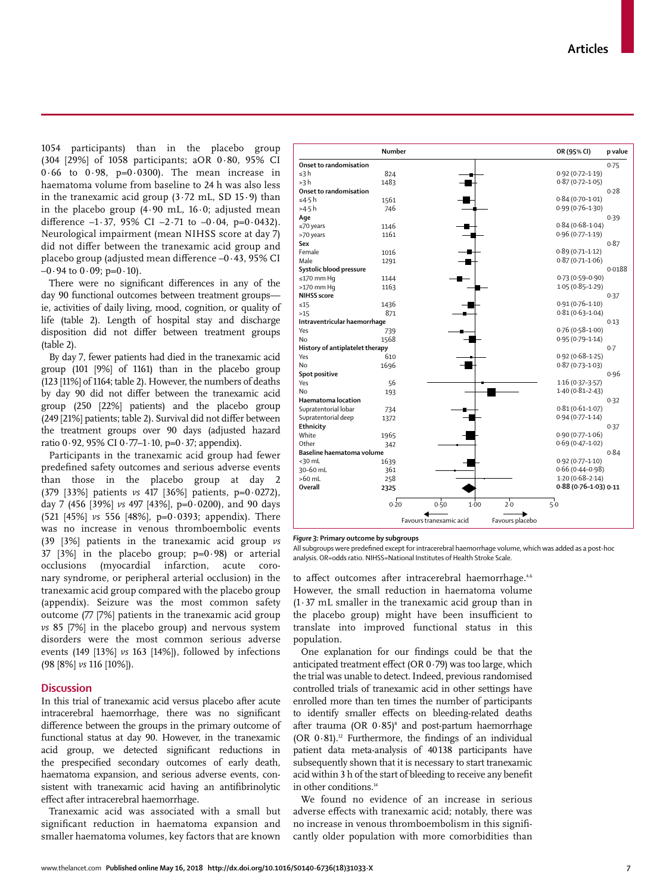1054 participants) than in the placebo group (304 [29%] of 1058 participants; aOR 0·80, 95% CI  $0.66$  to  $0.98$ ,  $p=0.0300$ ). The mean increase in haematoma volume from baseline to 24 h was also less in the tranexamic acid group  $(3.72 \text{ mL}, SD 15.9)$  than in the placebo group (4·90 mL, 16·0; adjusted mean difference  $-1.37$ , 95% CI  $-2.71$  to  $-0.04$ , p=0.0432). Neurological impairment (mean NIHSS score at day 7) did not differ between the tranexamic acid group and placebo group (adjusted mean difference –0·43, 95% CI  $-0.94$  to  $0.09$ ; p= $0.10$ ).

There were no significant differences in any of the day 90 functional outcomes between treatment groups ie, activities of daily living, mood, cognition, or quality of life (table 2). Length of hospital stay and discharge disposition did not differ between treatment groups (table 2).

By day 7, fewer patients had died in the tranexamic acid group (101 [9%] of 1161) than in the placebo group (123 [11%] of 1164; table 2). However, the numbers of deaths by day 90 did not differ between the tranexamic acid group (250 [22%] patients) and the placebo group (249 [21%] patients; table 2). Survival did not differ between the treatment groups over 90 days (adjusted hazard ratio  $0.92$ , 95% CI  $0.77-1.10$ , p= $0.37$ ; appendix).

Participants in the tranexamic acid group had fewer predefined safety outcomes and serious adverse events than those in the placebo group at day 2 (379 [33%] patients *vs* 417 [36%] patients, p=0·0272), day 7 (456 [39%] *vs* 497 [43%], p=0·0200), and 90 days (521 [45%] *vs* 556 [48%], p=0·0393; appendix). There was no increase in venous thromboembolic events (39 [3%] patients in the tranexamic acid group *vs* 37 [3%] in the placebo group;  $p=0.98$ ) or arterial occlusions (myocardial infarction, acute coronary syndrome, or peripheral arterial occlusion) in the tranexamic acid group compared with the placebo group (appendix). Seizure was the most common safety outcome (77 [7%] patients in the tranexamic acid group *vs* 85 [7%] in the placebo group) and nervous system disorders were the most common serious adverse events (149 [13%] *vs* 163 [14%]), followed by infections (98 [8%] *vs* 116 [10%]).

# **Discussion**

In this trial of tranexamic acid versus placebo after acute intracerebral haemorrhage, there was no significant difference between the groups in the primary outcome of functional status at day 90. However, in the tranexamic acid group, we detected significant reductions in the prespecified secondary outcomes of early death, haematoma expansion, and serious adverse events, consistent with tranexamic acid having an antifibrinolytic effect after intracerebral haemorrhage.

Tranexamic acid was associated with a small but significant reduction in haematoma expansion and smaller haematoma volumes, key factors that are known



*Figure 3:* **Primary outcome by subgroups**

All subgroups were predefined except for intracerebral haemorrhage volume, which was added as a post-hoc analysis. OR=odds ratio. NIHSS=National Institutes of Health Stroke Scale.

to affect outcomes after intracerebral haemorrhage.<sup>4,6</sup> However, the small reduction in haematoma volume (1·37 mL smaller in the tranexamic acid group than in the placebo group) might have been insufficient to translate into improved functional status in this population.

One explanation for our findings could be that the anticipated treatment effect (OR 0·79) was too large, which the trial was unable to detect. Indeed, previous randomised controlled trials of tranexamic acid in other settings have enrolled more than ten times the number of participants to identify smaller effects on bleeding-related deaths after trauma (OR  $0.85$ <sup>8</sup> and post-partum haemorrhage (OR  $0.81$ ).<sup>12</sup> Furthermore, the findings of an individual patient data meta-analysis of 40138 participants have subsequently shown that it is necessary to start tranexamic acid within 3 h of the start of bleeding to receive any benefit in other conditions.<sup>14</sup>

We found no evidence of an increase in serious adverse effects with tranexamic acid; notably, there was no increase in venous thromboembolism in this significantly older population with more comorbidities than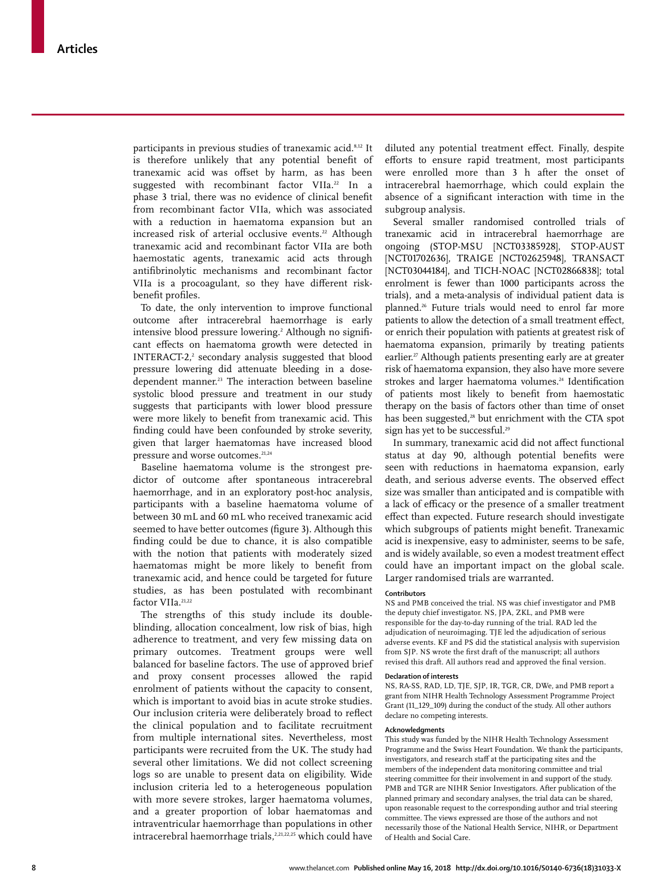participants in previous studies of tranexamic acid.<sup>8,12</sup> It is therefore unlikely that any potential benefit of tranexamic acid was offset by harm, as has been suggested with recombinant factor VIIa.<sup>22</sup> In a phase 3 trial, there was no evidence of clinical benefit from recombinant factor VIIa, which was associated with a reduction in haematoma expansion but an increased risk of arterial occlusive events.<sup>22</sup> Although tranexamic acid and recombinant factor VIIa are both haemostatic agents, tranexamic acid acts through antifibrinolytic mechanisms and recombinant factor VIIa is a procoagulant, so they have different riskbenefit profiles.

To date, the only intervention to improve functional outcome after intracerebral haemorrhage is early intensive blood pressure lowering.2 Although no significant effects on haematoma growth were detected in INTERACT-2,<sup>2</sup> secondary analysis suggested that blood pressure lowering did attenuate bleeding in a dosedependent manner.<sup>23</sup> The interaction between baseline systolic blood pressure and treatment in our study suggests that participants with lower blood pressure were more likely to benefit from tranexamic acid. This finding could have been confounded by stroke severity, given that larger haematomas have increased blood pressure and worse outcomes.<sup>21,24</sup>

Baseline haematoma volume is the strongest predictor of outcome after spontaneous intracerebral haemorrhage, and in an exploratory post-hoc analysis, participants with a baseline haematoma volume of between 30 mL and 60 mL who received tranexamic acid seemed to have better outcomes (figure 3). Although this finding could be due to chance, it is also compatible with the notion that patients with moderately sized haematomas might be more likely to benefit from tranexamic acid, and hence could be targeted for future studies, as has been postulated with recombinant factor VIIa.<sup>21,22</sup>

The strengths of this study include its doubleblinding, allocation concealment, low risk of bias, high adherence to treatment, and very few missing data on primary outcomes. Treatment groups were well balanced for baseline factors. The use of approved brief and proxy consent processes allowed the rapid enrolment of patients without the capacity to consent, which is important to avoid bias in acute stroke studies. Our inclusion criteria were deliberately broad to reflect the clinical population and to facilitate recruitment from multiple international sites. Nevertheless, most participants were recruited from the UK. The study had several other limitations. We did not collect screening logs so are unable to present data on eligibility. Wide inclusion criteria led to a heterogeneous population with more severe strokes, larger haematoma volumes, and a greater proportion of lobar haematomas and intraventricular haemorrhage than populations in other intracerebral haemorrhage trials,<sup>2,21,22,25</sup> which could have diluted any potential treatment effect. Finally, despite efforts to ensure rapid treatment, most participants were enrolled more than 3 h after the onset of intracerebral haemorrhage, which could explain the absence of a significant interaction with time in the subgroup analysis.

Several smaller randomised controlled trials of tranexamic acid in intracerebral haemorrhage are ongoing (STOP-MSU [NCT03385928], STOP-AUST [NCT01702636], TRAIGE [NCT02625948], TRANSACT [NCT03044184], and TICH-NOAC [NCT02866838]; total enrolment is fewer than 1000 participants across the trials), and a meta-analysis of individual patient data is planned.<sup>26</sup> Future trials would need to enrol far more patients to allow the detection of a small treatment effect, or enrich their population with patients at greatest risk of haematoma expansion, primarily by treating patients earlier.<sup>27</sup> Although patients presenting early are at greater risk of haematoma expansion, they also have more severe strokes and larger haematoma volumes.<sup>24</sup> Identification of patients most likely to benefit from haemostatic therapy on the basis of factors other than time of onset has been suggested,<sup>28</sup> but enrichment with the CTA spot sign has yet to be successful.<sup>29</sup>

In summary, tranexamic acid did not affect functional status at day 90, although potential benefits were seen with reductions in haematoma expansion, early death, and serious adverse events. The observed effect size was smaller than anticipated and is compatible with a lack of efficacy or the presence of a smaller treatment effect than expected. Future research should investigate which subgroups of patients might benefit. Tranexamic acid is inexpensive, easy to administer, seems to be safe, and is widely available, so even a modest treatment effect could have an important impact on the global scale. Larger randomised trials are warranted.

#### **Contributors**

NS and PMB conceived the trial. NS was chief investigator and PMB the deputy chief investigator. NS, JPA, ZKL, and PMB were responsible for the day-to-day running of the trial. RAD led the adjudication of neuroimaging. TJE led the adjudication of serious adverse events. KF and PS did the statistical analysis with supervision from SJP. NS wrote the first draft of the manuscript; all authors revised this draft. All authors read and approved the final version.

#### **Declaration of interests**

NS, RA-SS, RAD, LD, TJE, SJP, IR, TGR, CR, DWe, and PMB report a grant from NIHR Health Technology Assessment Programme Project Grant (11\_129\_109) during the conduct of the study. All other authors declare no competing interests.

#### **Acknowledgments**

This study was funded by the NIHR Health Technology Assessment Programme and the Swiss Heart Foundation. We thank the participants, investigators, and research staff at the participating sites and the members of the independent data monitoring committee and trial steering committee for their involvement in and support of the study. PMB and TGR are NIHR Senior Investigators. After publication of the planned primary and secondary analyses, the trial data can be shared, upon reasonable request to the corresponding author and trial steering committee. The views expressed are those of the authors and not necessarily those of the National Health Service, NIHR, or Department of Health and Social Care.